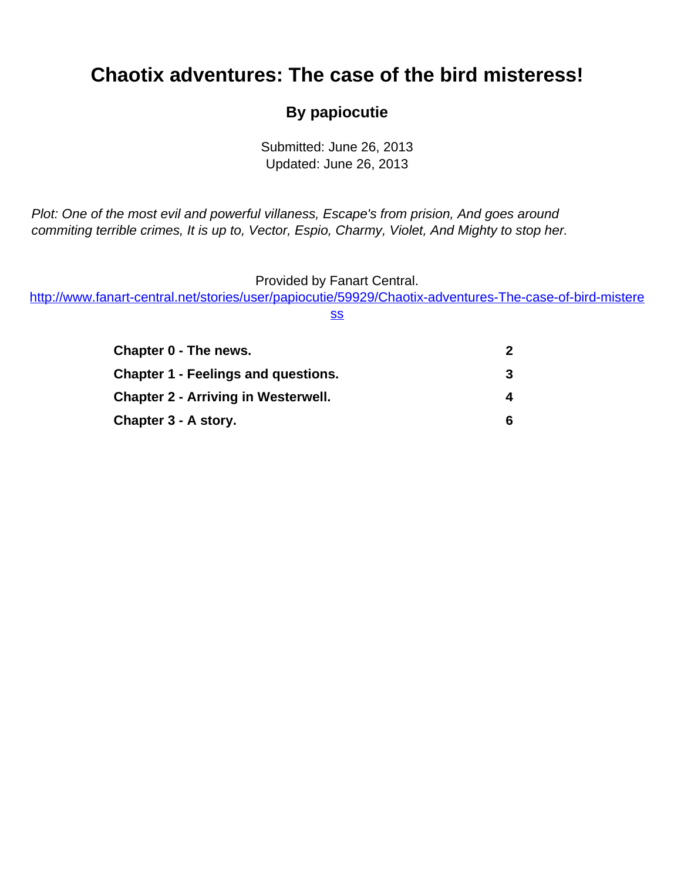# <span id="page-0-0"></span>**Chaotix adventures: The case of the bird misteress!**

#### **By papiocutie**

Submitted: June 26, 2013 Updated: June 26, 2013

Plot: One of the most evil and powerful villaness, Escape's from prision, And goes around commiting terrible crimes, It is up to, Vector, Espio, Charmy, Violet, And Mighty to stop her.

Provided by Fanart Central.

[http://www.fanart-central.net/stories/user/papiocutie/59929/Chaotix-adventures-The-case-of-bird-mistere](#page-0-0)

[ss](#page-0-0)

| Chapter 0 - The news.                      | 2 |
|--------------------------------------------|---|
| <b>Chapter 1 - Feelings and questions.</b> | 3 |
| <b>Chapter 2 - Arriving in Westerwell.</b> | 4 |
| Chapter 3 - A story.                       | 6 |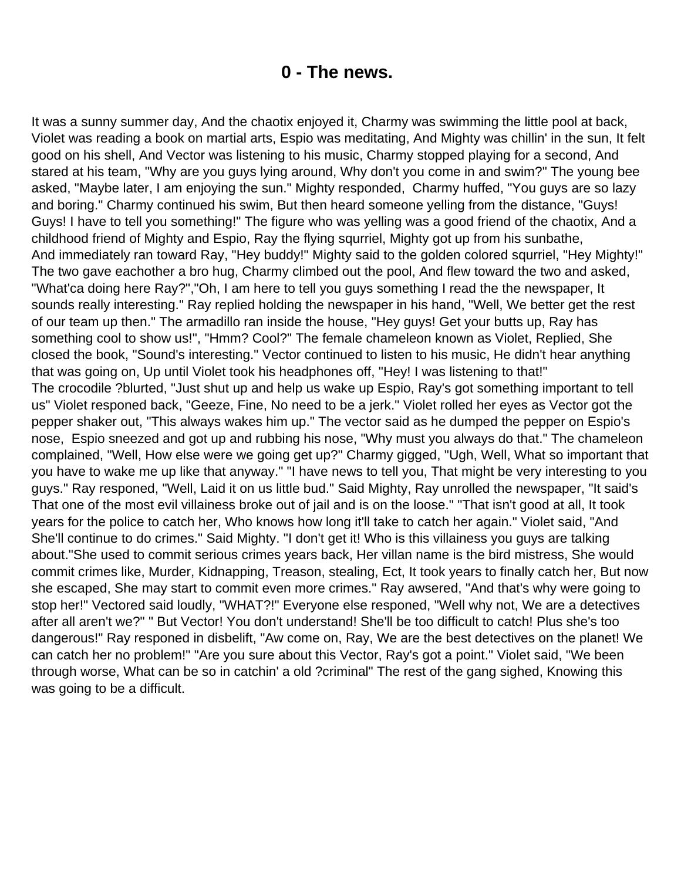### **0 - The news.**

<span id="page-1-0"></span>It was a sunny summer day, And the chaotix enjoyed it, Charmy was swimming the little pool at back, Violet was reading a book on martial arts, Espio was meditating, And Mighty was chillin' in the sun, It felt good on his shell, And Vector was listening to his music, Charmy stopped playing for a second, And stared at his team, "Why are you guys lying around, Why don't you come in and swim?" The young bee asked, "Maybe later, I am enjoying the sun." Mighty responded, Charmy huffed, "You guys are so lazy and boring." Charmy continued his swim, But then heard someone yelling from the distance, "Guys! Guys! I have to tell you something!" The figure who was yelling was a good friend of the chaotix, And a childhood friend of Mighty and Espio, Ray the flying squrriel, Mighty got up from his sunbathe, And immediately ran toward Ray, "Hey buddy!" Mighty said to the golden colored squrriel, "Hey Mighty!" The two gave eachother a bro hug, Charmy climbed out the pool, And flew toward the two and asked, "What'ca doing here Ray?","Oh, I am here to tell you guys something I read the the newspaper, It sounds really interesting." Ray replied holding the newspaper in his hand, "Well, We better get the rest of our team up then." The armadillo ran inside the house, "Hey guys! Get your butts up, Ray has something cool to show us!", "Hmm? Cool?" The female chameleon known as Violet, Replied, She closed the book, "Sound's interesting." Vector continued to listen to his music, He didn't hear anything that was going on, Up until Violet took his headphones off, "Hey! I was listening to that!" The crocodile ?blurted, "Just shut up and help us wake up Espio, Ray's got something important to tell us" Violet responed back, "Geeze, Fine, No need to be a jerk." Violet rolled her eyes as Vector got the pepper shaker out, "This always wakes him up." The vector said as he dumped the pepper on Espio's nose, Espio sneezed and got up and rubbing his nose, "Why must you always do that." The chameleon complained, "Well, How else were we going get up?" Charmy gigged, "Ugh, Well, What so important that you have to wake me up like that anyway." "I have news to tell you, That might be very interesting to you guys." Ray responed, "Well, Laid it on us little bud." Said Mighty, Ray unrolled the newspaper, "It said's That one of the most evil villainess broke out of jail and is on the loose." "That isn't good at all, It took years for the police to catch her, Who knows how long it'll take to catch her again." Violet said, "And She'll continue to do crimes." Said Mighty. "I don't get it! Who is this villainess you guys are talking about."She used to commit serious crimes years back, Her villan name is the bird mistress, She would commit crimes like, Murder, Kidnapping, Treason, stealing, Ect, It took years to finally catch her, But now she escaped, She may start to commit even more crimes." Ray awsered, "And that's why were going to stop her!" Vectored said loudly, "WHAT?!" Everyone else responed, "Well why not, We are a detectives after all aren't we?" " But Vector! You don't understand! She'll be too difficult to catch! Plus she's too dangerous!" Ray responed in disbelift, "Aw come on, Ray, We are the best detectives on the planet! We can catch her no problem!" "Are you sure about this Vector, Ray's got a point." Violet said, "We been through worse, What can be so in catchin' a old ?criminal" The rest of the gang sighed, Knowing this was going to be a difficult.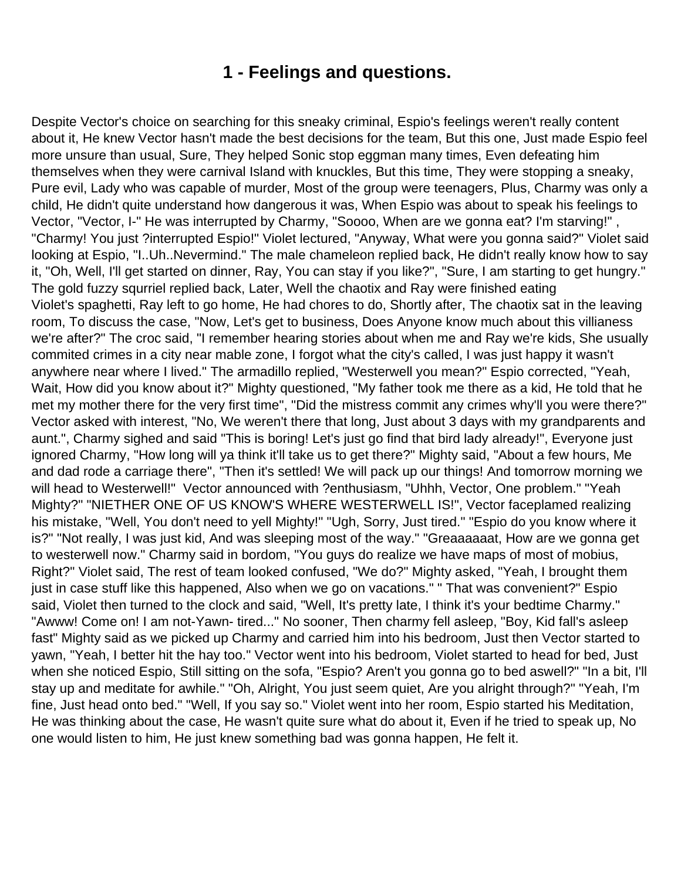### **1 - Feelings and questions.**

<span id="page-2-0"></span>Despite Vector's choice on searching for this sneaky criminal, Espio's feelings weren't really content about it, He knew Vector hasn't made the best decisions for the team, But this one, Just made Espio feel more unsure than usual, Sure, They helped Sonic stop eggman many times, Even defeating him themselves when they were carnival Island with knuckles, But this time, They were stopping a sneaky, Pure evil, Lady who was capable of murder, Most of the group were teenagers, Plus, Charmy was only a child, He didn't quite understand how dangerous it was, When Espio was about to speak his feelings to Vector, "Vector, I-" He was interrupted by Charmy, "Soooo, When are we gonna eat? I'm starving!" , "Charmy! You just ?interrupted Espio!" Violet lectured, "Anyway, What were you gonna said?" Violet said looking at Espio, "I..Uh..Nevermind." The male chameleon replied back, He didn't really know how to say it, "Oh, Well, I'll get started on dinner, Ray, You can stay if you like?", "Sure, I am starting to get hungry." The gold fuzzy squrriel replied back, Later, Well the chaotix and Ray were finished eating Violet's spaghetti, Ray left to go home, He had chores to do, Shortly after, The chaotix sat in the leaving room, To discuss the case, "Now, Let's get to business, Does Anyone know much about this villianess we're after?" The croc said, "I remember hearing stories about when me and Ray we're kids, She usually commited crimes in a city near mable zone, I forgot what the city's called, I was just happy it wasn't anywhere near where I lived." The armadillo replied, "Westerwell you mean?" Espio corrected, "Yeah, Wait, How did you know about it?" Mighty questioned, "My father took me there as a kid, He told that he met my mother there for the very first time", "Did the mistress commit any crimes why'll you were there?" Vector asked with interest, "No, We weren't there that long, Just about 3 days with my grandparents and aunt.", Charmy sighed and said "This is boring! Let's just go find that bird lady already!", Everyone just ignored Charmy, "How long will ya think it'll take us to get there?" Mighty said, "About a few hours, Me and dad rode a carriage there", "Then it's settled! We will pack up our things! And tomorrow morning we will head to Westerwell!" Vector announced with ?enthusiasm, "Uhhh, Vector, One problem." "Yeah Mighty?" "NIETHER ONE OF US KNOW'S WHERE WESTERWELL IS!", Vector faceplamed realizing his mistake, "Well, You don't need to yell Mighty!" "Ugh, Sorry, Just tired." "Espio do you know where it is?" "Not really, I was just kid, And was sleeping most of the way." "Greaaaaaat, How are we gonna get to westerwell now." Charmy said in bordom, "You guys do realize we have maps of most of mobius, Right?" Violet said, The rest of team looked confused, "We do?" Mighty asked, "Yeah, I brought them just in case stuff like this happened, Also when we go on vacations." " That was convenient?" Espio said, Violet then turned to the clock and said, "Well, It's pretty late, I think it's your bedtime Charmy." "Awww! Come on! I am not-Yawn- tired..." No sooner, Then charmy fell asleep, "Boy, Kid fall's asleep fast" Mighty said as we picked up Charmy and carried him into his bedroom, Just then Vector started to yawn, "Yeah, I better hit the hay too." Vector went into his bedroom, Violet started to head for bed, Just when she noticed Espio, Still sitting on the sofa, "Espio? Aren't you gonna go to bed aswell?" "In a bit, I'll stay up and meditate for awhile." "Oh, Alright, You just seem quiet, Are you alright through?" "Yeah, I'm fine, Just head onto bed." "Well, If you say so." Violet went into her room, Espio started his Meditation, He was thinking about the case, He wasn't quite sure what do about it, Even if he tried to speak up, No one would listen to him, He just knew something bad was gonna happen, He felt it.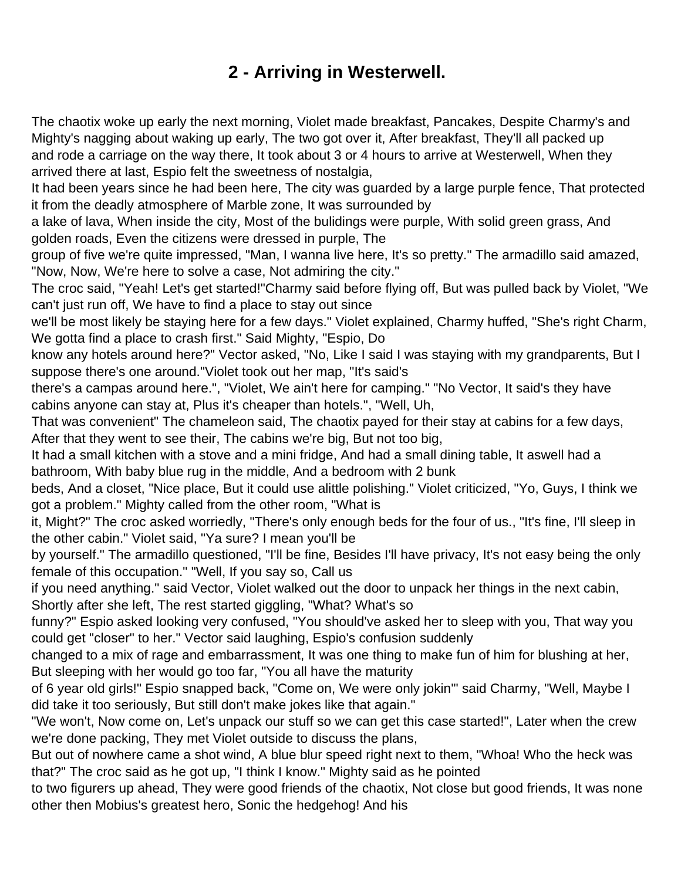# **2 - Arriving in Westerwell.**

<span id="page-3-0"></span>The chaotix woke up early the next morning, Violet made breakfast, Pancakes, Despite Charmy's and Mighty's nagging about waking up early, The two got over it, After breakfast, They'll all packed up and rode a carriage on the way there, It took about 3 or 4 hours to arrive at Westerwell, When they arrived there at last, Espio felt the sweetness of nostalgia,

It had been years since he had been here, The city was guarded by a large purple fence, That protected it from the deadly atmosphere of Marble zone, It was surrounded by

a lake of lava, When inside the city, Most of the bulidings were purple, With solid green grass, And golden roads, Even the citizens were dressed in purple, The

group of five we're quite impressed, "Man, I wanna live here, It's so pretty." The armadillo said amazed, "Now, Now, We're here to solve a case, Not admiring the city."

The croc said, "Yeah! Let's get started!"Charmy said before flying off, But was pulled back by Violet, "We can't just run off, We have to find a place to stay out since

we'll be most likely be staying here for a few days." Violet explained, Charmy huffed, "She's right Charm, We gotta find a place to crash first." Said Mighty, "Espio, Do

know any hotels around here?" Vector asked, "No, Like I said I was staying with my grandparents, But I suppose there's one around."Violet took out her map, "It's said's

there's a campas around here.", "Violet, We ain't here for camping." "No Vector, It said's they have cabins anyone can stay at, Plus it's cheaper than hotels.", "Well, Uh,

That was convenient" The chameleon said, The chaotix payed for their stay at cabins for a few days, After that they went to see their, The cabins we're big, But not too big,

It had a small kitchen with a stove and a mini fridge, And had a small dining table, It aswell had a bathroom, With baby blue rug in the middle, And a bedroom with 2 bunk

beds, And a closet, "Nice place, But it could use alittle polishing." Violet criticized, "Yo, Guys, I think we got a problem." Mighty called from the other room, "What is

it, Might?" The croc asked worriedly, "There's only enough beds for the four of us., "It's fine, I'll sleep in the other cabin." Violet said, "Ya sure? I mean you'll be

by yourself." The armadillo questioned, "I'll be fine, Besides I'll have privacy, It's not easy being the only female of this occupation." "Well, If you say so, Call us

if you need anything." said Vector, Violet walked out the door to unpack her things in the next cabin, Shortly after she left, The rest started giggling, "What? What's so

funny?" Espio asked looking very confused, "You should've asked her to sleep with you, That way you could get "closer" to her." Vector said laughing, Espio's confusion suddenly

changed to a mix of rage and embarrassment, It was one thing to make fun of him for blushing at her, But sleeping with her would go too far, "You all have the maturity

of 6 year old girls!" Espio snapped back, "Come on, We were only jokin'" said Charmy, "Well, Maybe I did take it too seriously, But still don't make jokes like that again."

"We won't, Now come on, Let's unpack our stuff so we can get this case started!", Later when the crew we're done packing, They met Violet outside to discuss the plans,

But out of nowhere came a shot wind, A blue blur speed right next to them, "Whoa! Who the heck was that?" The croc said as he got up, "I think I know." Mighty said as he pointed

to two figurers up ahead, They were good friends of the chaotix, Not close but good friends, It was none other then Mobius's greatest hero, Sonic the hedgehog! And his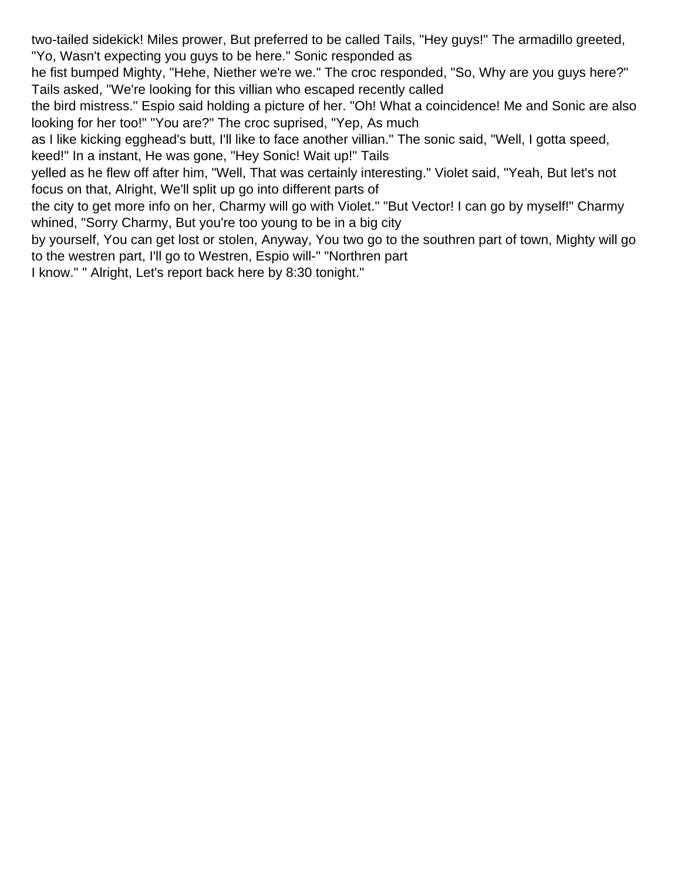two-tailed sidekick! Miles prower, But preferred to be called Tails, "Hey guys!" The armadillo greeted, "Yo, Wasn't expecting you guys to be here." Sonic responded as

he fist bumped Mighty, "Hehe, Niether we're we." The croc responded, "So, Why are you guys here?" Tails asked, "We're looking for this villian who escaped recently called

the bird mistress." Espio said holding a picture of her. "Oh! What a coincidence! Me and Sonic are also looking for her too!" "You are?" The croc suprised, "Yep, As much

as I like kicking egghead's butt, I'll like to face another villian." The sonic said, "Well, I gotta speed, keed!" In a instant, He was gone, "Hey Sonic! Wait up!" Tails

yelled as he flew off after him, "Well, That was certainly interesting." Violet said, "Yeah, But let's not focus on that, Alright, We'll split up go into different parts of

the city to get more info on her, Charmy will go with Violet." "But Vector! I can go by myself!" Charmy whined, "Sorry Charmy, But you're too young to be in a big city

by yourself, You can get lost or stolen, Anyway, You two go to the southren part of town, Mighty will go to the westren part, I'll go to Westren, Espio will-" "Northren part

I know." " Alright, Let's report back here by 8:30 tonight."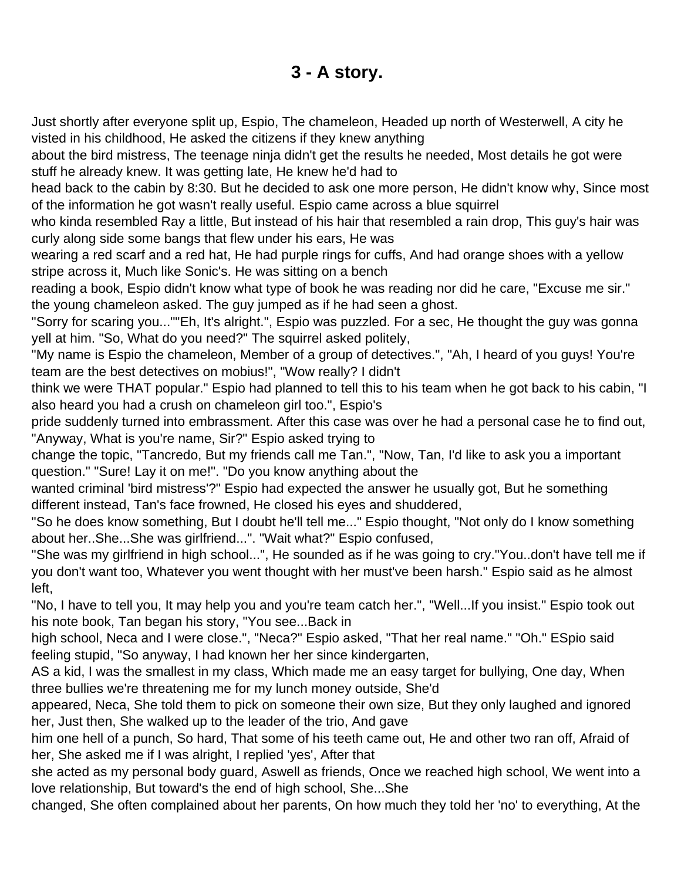## **3 - A story.**

<span id="page-5-0"></span>Just shortly after everyone split up, Espio, The chameleon, Headed up north of Westerwell, A city he visted in his childhood, He asked the citizens if they knew anything

about the bird mistress, The teenage ninja didn't get the results he needed, Most details he got were stuff he already knew. It was getting late, He knew he'd had to

head back to the cabin by 8:30. But he decided to ask one more person, He didn't know why, Since most of the information he got wasn't really useful. Espio came across a blue squirrel

who kinda resembled Ray a little, But instead of his hair that resembled a rain drop, This guy's hair was curly along side some bangs that flew under his ears, He was

wearing a red scarf and a red hat, He had purple rings for cuffs, And had orange shoes with a yellow stripe across it, Much like Sonic's. He was sitting on a bench

reading a book, Espio didn't know what type of book he was reading nor did he care, "Excuse me sir." the young chameleon asked. The guy jumped as if he had seen a ghost.

"Sorry for scaring you...""Eh, It's alright.", Espio was puzzled. For a sec, He thought the guy was gonna yell at him. "So, What do you need?" The squirrel asked politely,

"My name is Espio the chameleon, Member of a group of detectives.", "Ah, I heard of you guys! You're team are the best detectives on mobius!", "Wow really? I didn't

think we were THAT popular." Espio had planned to tell this to his team when he got back to his cabin, "I also heard you had a crush on chameleon girl too.", Espio's

pride suddenly turned into embrassment. After this case was over he had a personal case he to find out, "Anyway, What is you're name, Sir?" Espio asked trying to

change the topic, "Tancredo, But my friends call me Tan.", "Now, Tan, I'd like to ask you a important question." "Sure! Lay it on me!". "Do you know anything about the

wanted criminal 'bird mistress'?" Espio had expected the answer he usually got, But he something different instead, Tan's face frowned, He closed his eyes and shuddered,

"So he does know something, But I doubt he'll tell me..." Espio thought, "Not only do I know something about her..She...She was girlfriend...". "Wait what?" Espio confused,

"She was my girlfriend in high school...", He sounded as if he was going to cry."You..don't have tell me if you don't want too, Whatever you went thought with her must've been harsh." Espio said as he almost left,

"No, I have to tell you, It may help you and you're team catch her.", "Well...If you insist." Espio took out his note book, Tan began his story, "You see...Back in

high school, Neca and I were close.", "Neca?" Espio asked, "That her real name." "Oh." ESpio said feeling stupid, "So anyway, I had known her her since kindergarten,

AS a kid, I was the smallest in my class, Which made me an easy target for bullying, One day, When three bullies we're threatening me for my lunch money outside, She'd

appeared, Neca, She told them to pick on someone their own size, But they only laughed and ignored her, Just then, She walked up to the leader of the trio, And gave

him one hell of a punch, So hard, That some of his teeth came out, He and other two ran off, Afraid of her, She asked me if I was alright, I replied 'yes', After that

she acted as my personal body guard, Aswell as friends, Once we reached high school, We went into a love relationship, But toward's the end of high school, She...She

changed, She often complained about her parents, On how much they told her 'no' to everything, At the